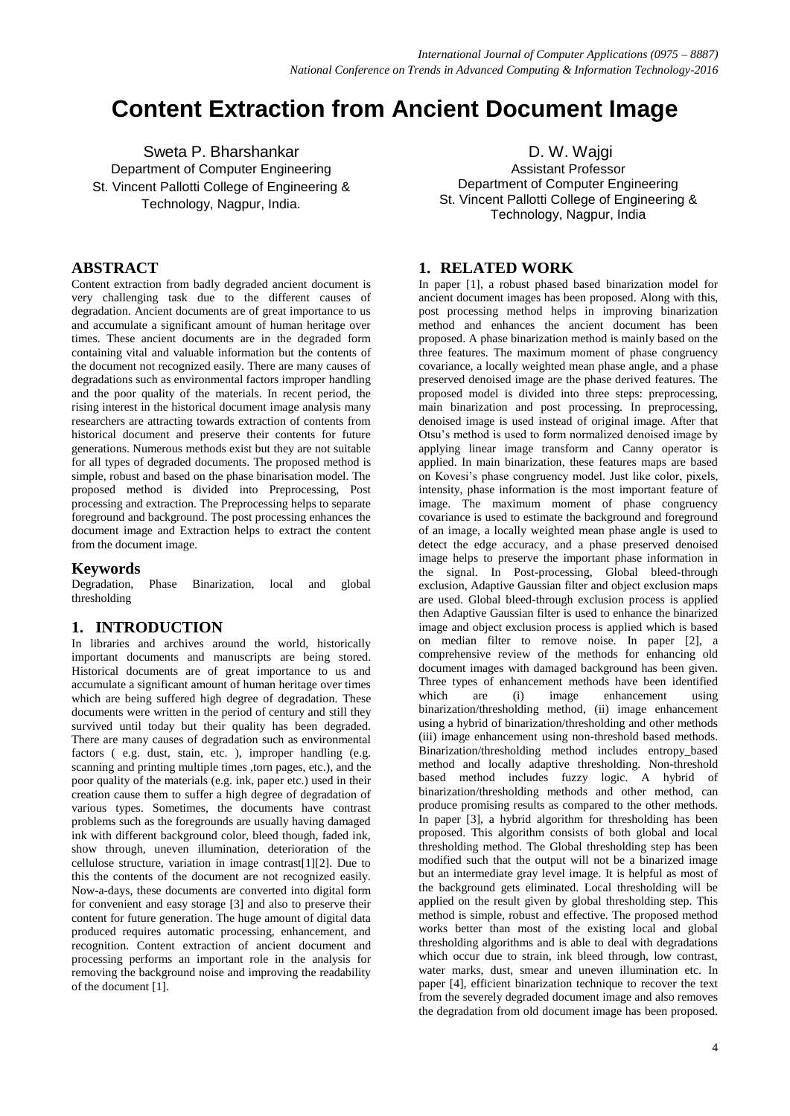# **Content Extraction from Ancient Document Image**

Sweta P. Bharshankar Department of Computer Engineering St. Vincent Pallotti College of Engineering & Technology, Nagpur, India.

### **ABSTRACT**

Content extraction from badly degraded ancient document is very challenging task due to the different causes of degradation. Ancient documents are of great importance to us and accumulate a significant amount of human heritage over times. These ancient documents are in the degraded form containing vital and valuable information but the contents of the document not recognized easily. There are many causes of degradations such as environmental factors improper handling and the poor quality of the materials. In recent period, the rising interest in the historical document image analysis many researchers are attracting towards extraction of contents from historical document and preserve their contents for future generations. Numerous methods exist but they are not suitable for all types of degraded documents. The proposed method is simple, robust and based on the phase binarisation model. The proposed method is divided into Preprocessing, Post processing and extraction. The Preprocessing helps to separate foreground and background. The post processing enhances the document image and Extraction helps to extract the content from the document image.

#### **Keywords**

Degradation, Phase Binarization, local and global thresholding

#### **1. INTRODUCTION**

In libraries and archives around the world, historically important documents and manuscripts are being stored. Historical documents are of great importance to us and accumulate a significant amount of human heritage over times which are being suffered high degree of degradation. These documents were written in the period of century and still they survived until today but their quality has been degraded. There are many causes of degradation such as environmental factors ( e.g. dust, stain, etc. ), improper handling (e.g. scanning and printing multiple times ,torn pages, etc.), and the poor quality of the materials (e.g. ink, paper etc.) used in their creation cause them to suffer a high degree of degradation of various types. Sometimes, the documents have contrast problems such as the foregrounds are usually having damaged ink with different background color, bleed though, faded ink, show through, uneven illumination, deterioration of the cellulose structure, variation in image contrast[1][2]. Due to this the contents of the document are not recognized easily. Now-a-days, these documents are converted into digital form for convenient and easy storage [3] and also to preserve their content for future generation. The huge amount of digital data produced requires automatic processing, enhancement, and recognition. Content extraction of ancient document and processing performs an important role in the analysis for removing the background noise and improving the readability of the document [1].

D. W. Wajgi Assistant Professor Department of Computer Engineering St. Vincent Pallotti College of Engineering & Technology, Nagpur, India

#### **1. RELATED WORK**

In paper [1], a robust phased based binarization model for ancient document images has been proposed. Along with this, post processing method helps in improving binarization method and enhances the ancient document has been proposed. A phase binarization method is mainly based on the three features. The maximum moment of phase congruency covariance, a locally weighted mean phase angle, and a phase preserved denoised image are the phase derived features. The proposed model is divided into three steps: preprocessing, main binarization and post processing. In preprocessing, denoised image is used instead of original image. After that Otsu's method is used to form normalized denoised image by applying linear image transform and Canny operator is applied. In main binarization, these features maps are based on Kovesi's phase congruency model. Just like color, pixels, intensity, phase information is the most important feature of image. The maximum moment of phase congruency covariance is used to estimate the background and foreground of an image, a locally weighted mean phase angle is used to detect the edge accuracy, and a phase preserved denoised image helps to preserve the important phase information in the signal. In Post-processing, Global bleed-through exclusion, Adaptive Gaussian filter and object exclusion maps are used. Global bleed-through exclusion process is applied then Adaptive Gaussian filter is used to enhance the binarized image and object exclusion process is applied which is based on median filter to remove noise. In paper [2], a comprehensive review of the methods for enhancing old document images with damaged background has been given. Three types of enhancement methods have been identified which are (i) image enhancement using binarization/thresholding method, (ii) image enhancement using a hybrid of binarization/thresholding and other methods (iii) image enhancement using non-threshold based methods. Binarization/thresholding method includes entropy\_based method and locally adaptive thresholding. Non-threshold based method includes fuzzy logic. A hybrid of binarization/thresholding methods and other method, can produce promising results as compared to the other methods. In paper [3], a hybrid algorithm for thresholding has been proposed. This algorithm consists of both global and local thresholding method. The Global thresholding step has been modified such that the output will not be a binarized image but an intermediate gray level image. It is helpful as most of the background gets eliminated. Local thresholding will be applied on the result given by global thresholding step. This method is simple, robust and effective. The proposed method works better than most of the existing local and global thresholding algorithms and is able to deal with degradations which occur due to strain, ink bleed through, low contrast, water marks, dust, smear and uneven illumination etc. In paper [4], efficient binarization technique to recover the text from the severely degraded document image and also removes the degradation from old document image has been proposed.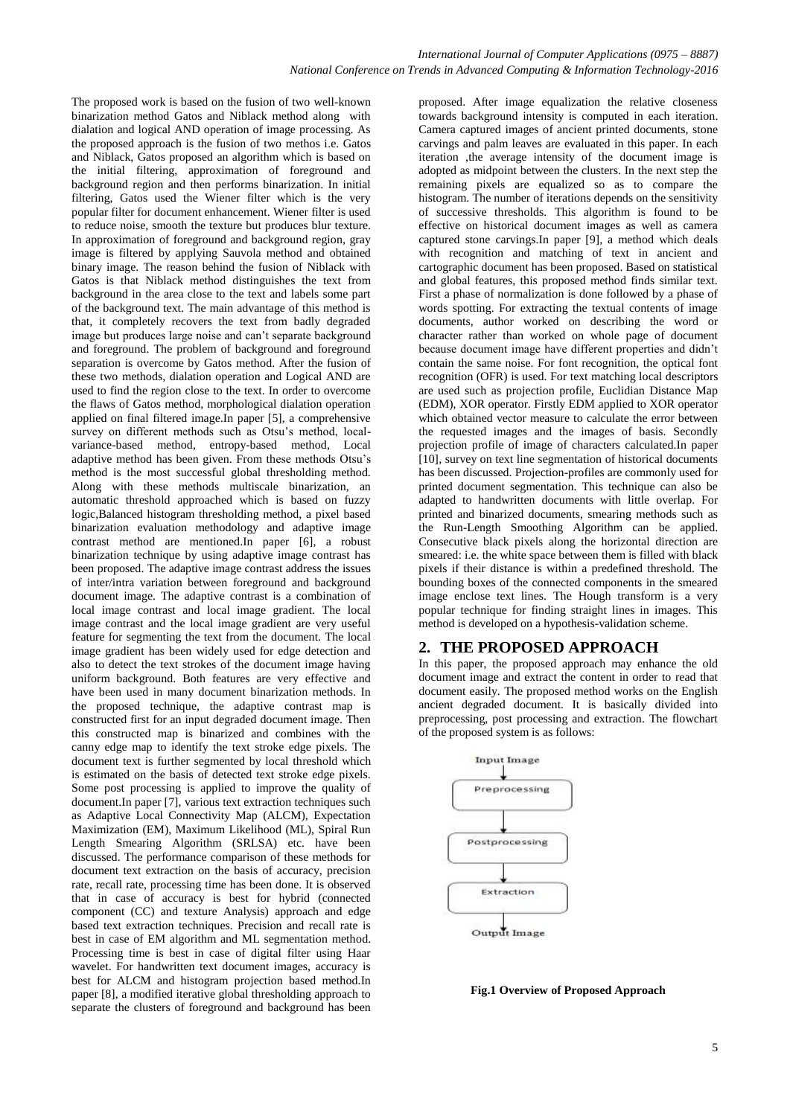The proposed work is based on the fusion of two well-known binarization method Gatos and Niblack method along with dialation and logical AND operation of image processing. As the proposed approach is the fusion of two methos i.e. Gatos and Niblack, Gatos proposed an algorithm which is based on the initial filtering, approximation of foreground and background region and then performs binarization. In initial filtering, Gatos used the Wiener filter which is the very popular filter for document enhancement. Wiener filter is used to reduce noise, smooth the texture but produces blur texture. In approximation of foreground and background region, gray image is filtered by applying Sauvola method and obtained binary image. The reason behind the fusion of Niblack with Gatos is that Niblack method distinguishes the text from background in the area close to the text and labels some part of the background text. The main advantage of this method is that, it completely recovers the text from badly degraded image but produces large noise and can't separate background and foreground. The problem of background and foreground separation is overcome by Gatos method. After the fusion of these two methods, dialation operation and Logical AND are used to find the region close to the text. In order to overcome the flaws of Gatos method, morphological dialation operation applied on final filtered image.In paper [5], a comprehensive survey on different methods such as Otsu's method, localvariance-based method, entropy-based method, Local adaptive method has been given. From these methods Otsu's method is the most successful global thresholding method. Along with these methods multiscale binarization, an automatic threshold approached which is based on fuzzy logic,Balanced histogram thresholding method, a pixel based binarization evaluation methodology and adaptive image contrast method are mentioned.In paper [6], a robust binarization technique by using adaptive image contrast has been proposed. The adaptive image contrast address the issues of inter/intra variation between foreground and background document image. The adaptive contrast is a combination of local image contrast and local image gradient. The local image contrast and the local image gradient are very useful feature for segmenting the text from the document. The local image gradient has been widely used for edge detection and also to detect the text strokes of the document image having uniform background. Both features are very effective and have been used in many document binarization methods. In the proposed technique, the adaptive contrast map is constructed first for an input degraded document image. Then this constructed map is binarized and combines with the canny edge map to identify the text stroke edge pixels. The document text is further segmented by local threshold which is estimated on the basis of detected text stroke edge pixels. Some post processing is applied to improve the quality of document.In paper [7], various text extraction techniques such as Adaptive Local Connectivity Map (ALCM), Expectation Maximization (EM), Maximum Likelihood (ML), Spiral Run Length Smearing Algorithm (SRLSA) etc. have been discussed. The performance comparison of these methods for document text extraction on the basis of accuracy, precision rate, recall rate, processing time has been done. It is observed that in case of accuracy is best for hybrid (connected component (CC) and texture Analysis) approach and edge based text extraction techniques. Precision and recall rate is best in case of EM algorithm and ML segmentation method. Processing time is best in case of digital filter using Haar wavelet. For handwritten text document images, accuracy is best for ALCM and histogram projection based method.In paper [8], a modified iterative global thresholding approach to separate the clusters of foreground and background has been

proposed. After image equalization the relative closeness towards background intensity is computed in each iteration. Camera captured images of ancient printed documents, stone carvings and palm leaves are evaluated in this paper. In each iteration ,the average intensity of the document image is adopted as midpoint between the clusters. In the next step the remaining pixels are equalized so as to compare the histogram. The number of iterations depends on the sensitivity of successive thresholds. This algorithm is found to be effective on historical document images as well as camera captured stone carvings.In paper [9], a method which deals with recognition and matching of text in ancient and cartographic document has been proposed. Based on statistical and global features, this proposed method finds similar text. First a phase of normalization is done followed by a phase of words spotting. For extracting the textual contents of image documents, author worked on describing the word or character rather than worked on whole page of document because document image have different properties and didn't contain the same noise. For font recognition, the optical font recognition (OFR) is used. For text matching local descriptors are used such as projection profile, Euclidian Distance Map (EDM), XOR operator. Firstly EDM applied to XOR operator which obtained vector measure to calculate the error between the requested images and the images of basis. Secondly projection profile of image of characters calculated.In paper [10], survey on text line segmentation of historical documents has been discussed. Projection-profiles are commonly used for printed document segmentation. This technique can also be adapted to handwritten documents with little overlap. For printed and binarized documents, smearing methods such as the Run-Length Smoothing Algorithm can be applied. Consecutive black pixels along the horizontal direction are smeared: i.e. the white space between them is filled with black pixels if their distance is within a predefined threshold. The bounding boxes of the connected components in the smeared image enclose text lines. The Hough transform is a very popular technique for finding straight lines in images. This method is developed on a hypothesis-validation scheme.

#### **2. THE PROPOSED APPROACH**

In this paper, the proposed approach may enhance the old document image and extract the content in order to read that document easily. The proposed method works on the English ancient degraded document. It is basically divided into preprocessing, post processing and extraction. The flowchart of the proposed system is as follows:



**Fig.1 Overview of Proposed Approach**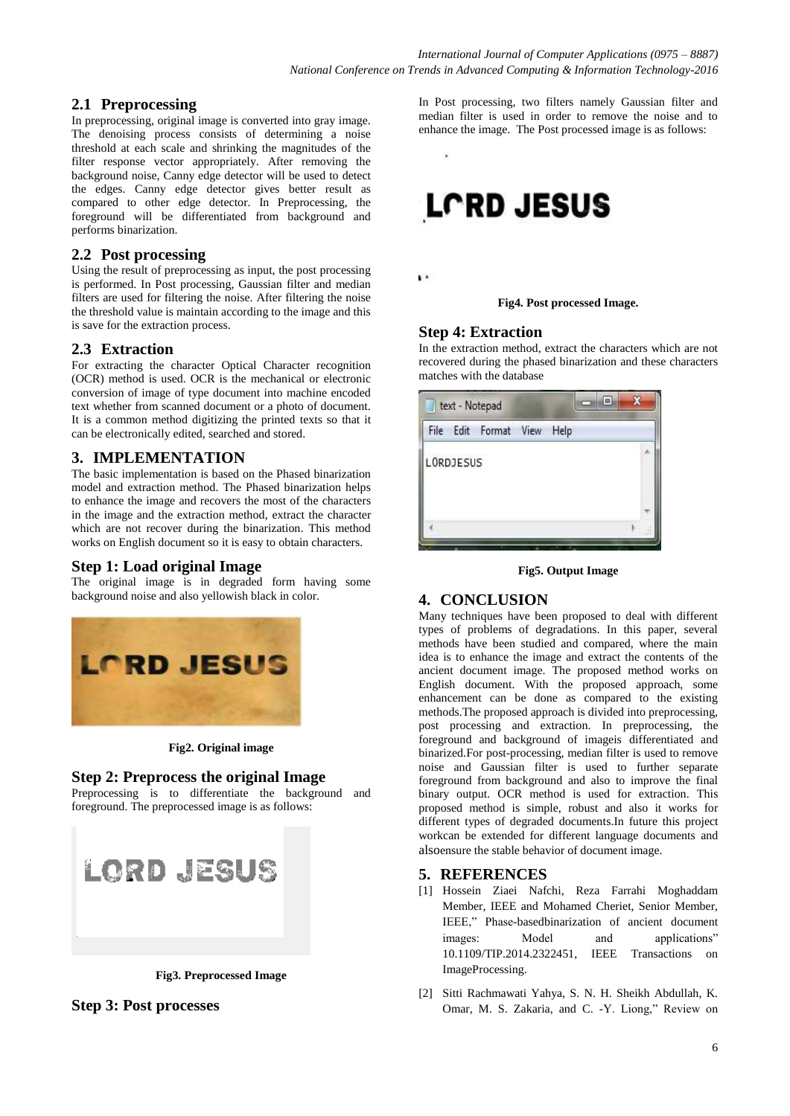# **2.1 Preprocessing**

In preprocessing, original image is converted into gray image. The denoising process consists of determining a noise threshold at each scale and shrinking the magnitudes of the filter response vector appropriately. After removing the background noise, Canny edge detector will be used to detect the edges. Canny edge detector gives better result as compared to other edge detector. In Preprocessing, the foreground will be differentiated from background and performs binarization.

#### **2.2 Post processing**

Using the result of preprocessing as input, the post processing is performed. In Post processing, Gaussian filter and median filters are used for filtering the noise. After filtering the noise the threshold value is maintain according to the image and this is save for the extraction process.

### **2.3 Extraction**

For extracting the character Optical Character recognition (OCR) method is used. OCR is the mechanical or electronic conversion of image of type document into machine encoded text whether from scanned document or a photo of document. It is a common method digitizing the printed texts so that it can be electronically edited, searched and stored.

# **3. IMPLEMENTATION**

The basic implementation is based on the Phased binarization model and extraction method. The Phased binarization helps to enhance the image and recovers the most of the characters in the image and the extraction method, extract the character which are not recover during the binarization. This method works on English document so it is easy to obtain characters.

### **Step 1: Load original Image**

The original image is in degraded form having some background noise and also yellowish black in color.



**Fig2. Original image**

### **Step 2: Preprocess the original Image**

Preprocessing is to differentiate the background and foreground. The preprocessed image is as follows:

| LORD JESUS |  |
|------------|--|
|            |  |

**Fig3. Preprocessed Image**

### **Step 3: Post processes**

In Post processing, two filters namely Gaussian filter and median filter is used in order to remove the noise and to enhance the image. The Post processed image is as follows:



 $\mathbf{V}$ 

**Fig4. Post processed Image.**

## **Step 4: Extraction**

In the extraction method, extract the characters which are not recovered during the phased binarization and these characters matches with the database

| File |                  | Edit Format | View | Help |  |  |
|------|------------------|-------------|------|------|--|--|
|      | <b>LORDJESUS</b> |             |      |      |  |  |
|      |                  |             |      |      |  |  |
|      |                  |             |      |      |  |  |

**Fig5. Output Image**

### **4. CONCLUSION**

Many techniques have been proposed to deal with different types of problems of degradations. In this paper, several methods have been studied and compared, where the main idea is to enhance the image and extract the contents of the ancient document image. The proposed method works on English document. With the proposed approach, some enhancement can be done as compared to the existing methods.The proposed approach is divided into preprocessing, post processing and extraction. In preprocessing, the foreground and background of imageis differentiated and binarized.For post-processing, median filter is used to remove noise and Gaussian filter is used to further separate foreground from background and also to improve the final binary output. OCR method is used for extraction. This proposed method is simple, robust and also it works for different types of degraded documents.In future this project workcan be extended for different language documents and alsoensure the stable behavior of document image.

### **5. REFERENCES**

- [1] Hossein Ziaei Nafchi, Reza Farrahi Moghaddam Member, IEEE and Mohamed Cheriet, Senior Member, IEEE," Phase-basedbinarization of ancient document images: Model and applications" 10.1109/TIP.2014.2322451, IEEE Transactions on ImageProcessing.
- [2] Sitti Rachmawati Yahya, S. N. H. Sheikh Abdullah, K. Omar, M. S. Zakaria, and C. -Y. Liong," Review on